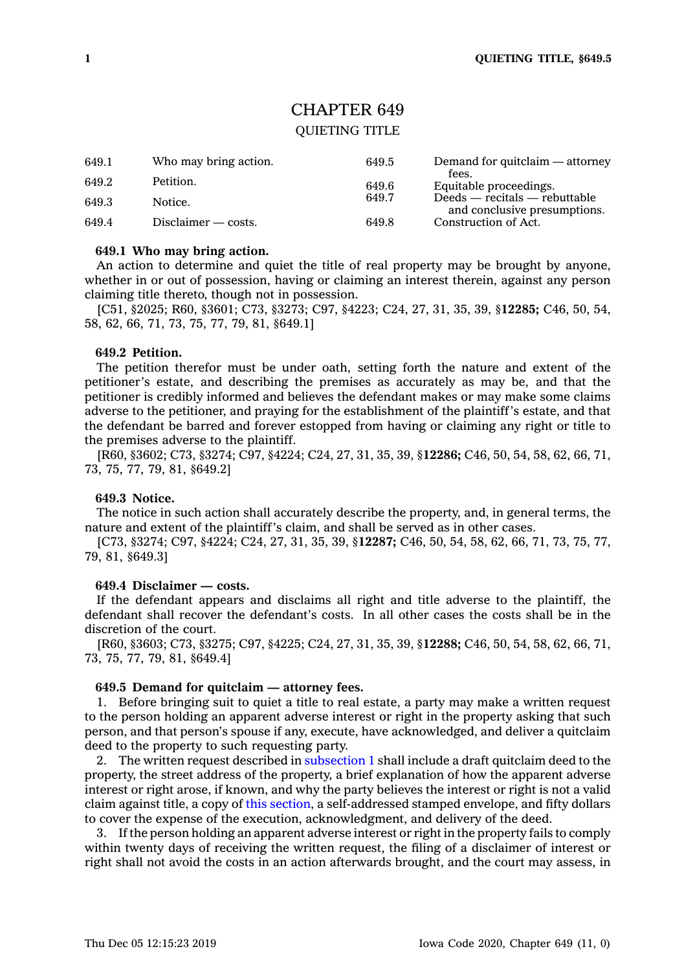# CHAPTER 649

# QUIETING TITLE

| 649.1 | Who may bring action. | 649.5 | Demand for quitclaim — attorney                                 |
|-------|-----------------------|-------|-----------------------------------------------------------------|
| 649.2 | Petition.             | 649.6 | fees.<br>Equitable proceedings.                                 |
| 649.3 | Notice.               | 649.7 | $Deeds - recitals - rebuttable$<br>and conclusive presumptions. |
| 649.4 | $Disclaimer - costs.$ | 649.8 | Construction of Act.                                            |

#### **649.1 Who may bring action.**

An action to determine and quiet the title of real property may be brought by anyone, whether in or out of possession, having or claiming an interest therein, against any person claiming title thereto, though not in possession.

[C51, §2025; R60, §3601; C73, §3273; C97, §4223; C24, 27, 31, 35, 39, §**12285;** C46, 50, 54, 58, 62, 66, 71, 73, 75, 77, 79, 81, §649.1]

## **649.2 Petition.**

The petition therefor must be under oath, setting forth the nature and extent of the petitioner's estate, and describing the premises as accurately as may be, and that the petitioner is credibly informed and believes the defendant makes or may make some claims adverse to the petitioner, and praying for the establishment of the plaintiff's estate, and that the defendant be barred and forever estopped from having or claiming any right or title to the premises adverse to the plaintiff.

[R60, §3602; C73, §3274; C97, §4224; C24, 27, 31, 35, 39, §**12286;** C46, 50, 54, 58, 62, 66, 71, 73, 75, 77, 79, 81, §649.2]

#### **649.3 Notice.**

The notice in such action shall accurately describe the property, and, in general terms, the nature and extent of the plaintiff's claim, and shall be served as in other cases.

[C73, §3274; C97, §4224; C24, 27, 31, 35, 39, §**12287;** C46, 50, 54, 58, 62, 66, 71, 73, 75, 77, 79, 81, §649.3]

#### **649.4 Disclaimer — costs.**

If the defendant appears and disclaims all right and title adverse to the plaintiff, the defendant shall recover the defendant's costs. In all other cases the costs shall be in the discretion of the court.

[R60, §3603; C73, §3275; C97, §4225; C24, 27, 31, 35, 39, §**12288;** C46, 50, 54, 58, 62, 66, 71, 73, 75, 77, 79, 81, §649.4]

# **649.5 Demand for quitclaim — attorney fees.**

1. Before bringing suit to quiet <sup>a</sup> title to real estate, <sup>a</sup> party may make <sup>a</sup> written request to the person holding an apparent adverse interest or right in the property asking that such person, and that person's spouse if any, execute, have acknowledged, and deliver <sup>a</sup> quitclaim deed to the property to such requesting party.

2. The written request described in [subsection](https://www.legis.iowa.gov/docs/code/649.5.pdf) 1 shall include <sup>a</sup> draft quitclaim deed to the property, the street address of the property, <sup>a</sup> brief explanation of how the apparent adverse interest or right arose, if known, and why the party believes the interest or right is not <sup>a</sup> valid claim against title, <sup>a</sup> copy of this [section](https://www.legis.iowa.gov/docs/code/649.5.pdf), <sup>a</sup> self-addressed stamped envelope, and fifty dollars to cover the expense of the execution, acknowledgment, and delivery of the deed.

3. If the person holding an apparent adverse interest or right in the property fails to comply within twenty days of receiving the written request, the filing of <sup>a</sup> disclaimer of interest or right shall not avoid the costs in an action afterwards brought, and the court may assess, in